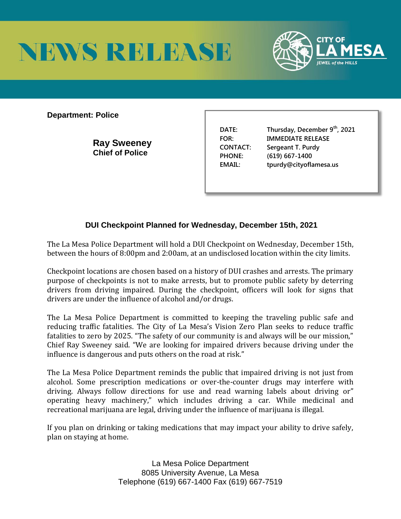



**Department: Police** 

**Ray Sweeney Chief of Police** 

**DATE: Thursday, December 9th, 2021 FOR: IMMEDIATE RELEASE CONTACT: Sergeant T. Purdy PHONE: (619) 667-1400 EMAIL: tpurdy@cityoflamesa.us**

## **DUI Checkpoint Planned for Wednesday, December 15th, 2021**

The La Mesa Police Department will hold a DUI Checkpoint on Wednesday, December 15th, between the hours of 8:00pm and 2:00am, at an undisclosed location within the city limits.

Checkpoint locations are chosen based on a history of DUI crashes and arrests. The primary purpose of checkpoints is not to make arrests, but to promote public safety by deterring drivers from driving impaired. During the checkpoint, officers will look for signs that drivers are under the influence of alcohol and/or drugs.

The La Mesa Police Department is committed to keeping the traveling public safe and reducing traffic fatalities. The City of La Mesa's Vision Zero Plan seeks to reduce traffic fatalities to zero by 2025. "The safety of our community is and always will be our mission," Chief Ray Sweeney said. "We are looking for impaired drivers because driving under the influence is dangerous and puts others on the road at risk."

The La Mesa Police Department reminds the public that impaired driving is not just from alcohol. Some prescription medications or over-the-counter drugs may interfere with driving. Always follow directions for use and read warning labels about driving or" operating heavy machinery," which includes driving a car. While medicinal and recreational marijuana are legal, driving under the influence of marijuana is illegal.

If you plan on drinking or taking medications that may impact your ability to drive safely, plan on staying at home.

> La Mesa Police Department 8085 University Avenue, La Mesa Telephone (619) 667-1400 Fax (619) 667-7519